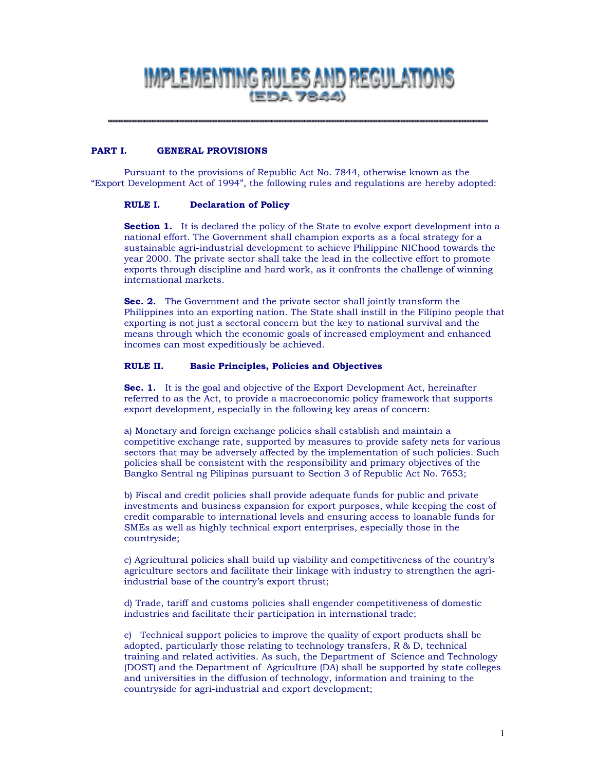# IMPLEMENTING RULES AND REGULATIONS **(EDA 7844)**

#### PART I. **GENERAL PROVISIONS**

Pursuant to the provisions of Republic Act No. 7844, otherwise known as the "Export Development Act of 1994", the following rules and regulations are hereby adopted:

#### RULE I. **Declaration of Policy**

**Section 1.** It is declared the policy of the State to evolve export development into a national effort. The Government shall champion exports as a focal strategy for a sustainable agri-industrial development to achieve Philippine NIChood towards the year 2000. The private sector shall take the lead in the collective effort to promote exports through discipline and hard work, as it confronts the challenge of winning international markets.

Sec. 2. The Government and the private sector shall jointly transform the Philippines into an exporting nation. The State shall instill in the Filipino people that exporting is not just a sectoral concern but the key to national survival and the means through which the economic goals of increased employment and enhanced incomes can most expeditiously be achieved.

#### RULE II. **Basic Principles, Policies and Objectives**

**Sec. 1.** It is the goal and objective of the Export Development Act, hereinafter referred to as the Act, to provide a macroeconomic policy framework that supports export development, especially in the following key areas of concern:

a) Monetary and foreign exchange policies shall establish and maintain a competitive exchange rate, supported by measures to provide safety nets for various sectors that may be adversely affected by the implementation of such policies. Such policies shall be consistent with the responsibility and primary objectives of the Bangko Sentral ng Pilipinas pursuant to Section 3 of Republic Act No. 7653;

b) Fiscal and credit policies shall provide adequate funds for public and private investments and business expansion for export purposes, while keeping the cost of credit comparable to international levels and ensuring access to loanable funds for SMEs as well as highly technical export enterprises, especially those in the countryside;

c) Agricultural policies shall build up viability and competitiveness of the country's agriculture sectors and facilitate their linkage with industry to strengthen the agriindustrial base of the country's export thrust;

d) Trade, tariff and customs policies shall engender competitiveness of domestic industries and facilitate their participation in international trade;

e) Technical support policies to improve the quality of export products shall be adopted, particularly those relating to technology transfers, R & D, technical training and related activities. As such, the Department of Science and Technology (DOST) and the Department of Agriculture (DA) shall be supported by state colleges and universities in the diffusion of technology, information and training to the countryside for agri-industrial and export development;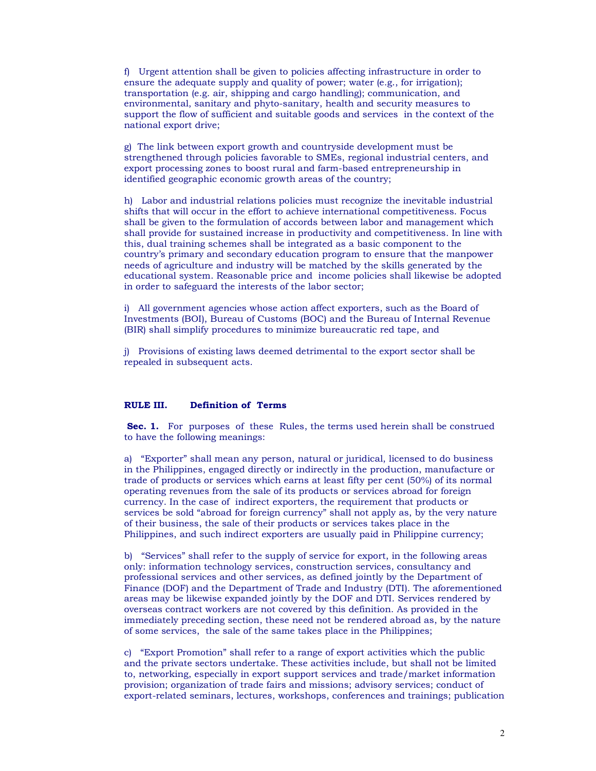f) Urgent attention shall be given to policies affecting infrastructure in order to ensure the adequate supply and quality of power: water (e.g., for irrigation); transportation (e.g. air, shipping and cargo handling); communication, and environmental, sanitary and phyto-sanitary, health and security measures to support the flow of sufficient and suitable goods and services in the context of the national export drive;

g) The link between export growth and countryside development must be strengthened through policies favorable to SMEs, regional industrial centers, and export processing zones to boost rural and farm-based entrepreneurship in identified geographic economic growth areas of the country;

h) Labor and industrial relations policies must recognize the inevitable industrial shifts that will occur in the effort to achieve international competitiveness. Focus shall be given to the formulation of accords between labor and management which shall provide for sustained increase in productivity and competitiveness. In line with this, dual training schemes shall be integrated as a basic component to the country's primary and secondary education program to ensure that the manpower needs of agriculture and industry will be matched by the skills generated by the educational system. Reasonable price and income policies shall likewise be adopted in order to safeguard the interests of the labor sector;

i) All government agencies whose action affect exporters, such as the Board of Investments (BOI), Bureau of Customs (BOC) and the Bureau of Internal Revenue (BIR) shall simplify procedures to minimize bureaucratic red tape, and

i) Provisions of existing laws deemed detrimental to the export sector shall be repealed in subsequent acts.

#### RULE III. **Definition of Terms**

**Sec. 1.** For purposes of these Rules, the terms used herein shall be construed to have the following meanings:

a) "Exporter" shall mean any person, natural or juridical, licensed to do business in the Philippines, engaged directly or indirectly in the production, manufacture or trade of products or services which earns at least fifty per cent (50%) of its normal operating revenues from the sale of its products or services abroad for foreign currency. In the case of indirect exporters, the requirement that products or services be sold "abroad for foreign currency" shall not apply as, by the very nature of their business, the sale of their products or services takes place in the Philippines, and such indirect exporters are usually paid in Philippine currency;

b) "Services" shall refer to the supply of service for export, in the following areas only: information technology services, construction services, consultancy and professional services and other services, as defined jointly by the Department of Finance (DOF) and the Department of Trade and Industry (DTI). The aforementioned areas may be likewise expanded jointly by the DOF and DTI. Services rendered by overseas contract workers are not covered by this definition. As provided in the immediately preceding section, these need not be rendered abroad as, by the nature of some services, the sale of the same takes place in the Philippines;

c) "Export Promotion" shall refer to a range of export activities which the public and the private sectors undertake. These activities include, but shall not be limited to, networking, especially in export support services and trade/market information provision; organization of trade fairs and missions; advisory services; conduct of export-related seminars, lectures, workshops, conferences and trainings; publication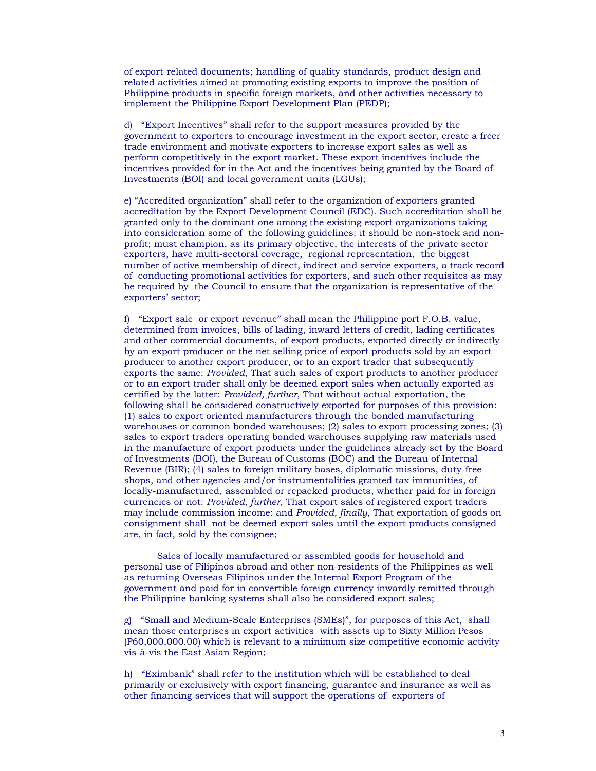of export-related documents; handling of quality standards, product design and related activities aimed at promoting existing exports to improve the position of Philippine products in specific foreign markets, and other activities necessary to implement the Philippine Export Development Plan (PEDP);

d) "Export Incentives" shall refer to the support measures provided by the government to exporters to encourage investment in the export sector, create a freer trade environment and motivate exporters to increase export sales as well as perform competitively in the export market. These export incentives include the incentives provided for in the Act and the incentives being granted by the Board of Investments (BOI) and local government units (LGUs);

e) "Accredited organization" shall refer to the organization of exporters granted accreditation by the Export Development Council (EDC). Such accreditation shall be granted only to the dominant one among the existing export organizations taking into consideration some of the following guidelines: it should be non-stock and nonprofit; must champion, as its primary objective, the interests of the private sector exporters, have multi-sectoral coverage, regional representation, the biggest number of active membership of direct, indirect and service exporters, a track record of conducting promotional activities for exporters, and such other requisites as may be required by the Council to ensure that the organization is representative of the exporters' sector;

f) "Export sale or export revenue" shall mean the Philippine port F.O.B. value, determined from invoices, bills of lading, inward letters of credit, lading certificates and other commercial documents, of export products, exported directly or indirectly by an export producer or the net selling price of export products sold by an export producer to another export producer, or to an export trader that subsequently exports the same: Provided, That such sales of export products to another producer or to an export trader shall only be deemed export sales when actually exported as certified by the latter: *Provided, further*, That without actual exportation, the following shall be considered constructively exported for purposes of this provision: (1) sales to export oriented manufacturers through the bonded manufacturing warehouses or common bonded warehouses; (2) sales to export processing zones; (3) sales to export traders operating bonded warehouses supplying raw materials used in the manufacture of export products under the guidelines already set by the Board of Investments (BOI), the Bureau of Customs (BOC) and the Bureau of Internal Revenue (BIR); (4) sales to foreign military bases, diplomatic missions, duty-free shops, and other agencies and/or instrumentalities granted tax immunities, of locally-manufactured, assembled or repacked products, whether paid for in foreign currencies or not: Provided, further, That export sales of registered export traders may include commission income: and *Provided, finally*, That exportation of goods on consignment shall not be deemed export sales until the export products consigned are, in fact, sold by the consignee;

Sales of locally manufactured or assembled goods for household and personal use of Filipinos abroad and other non-residents of the Philippines as well as returning Overseas Filipinos under the Internal Export Program of the government and paid for in convertible foreign currency inwardly remitted through the Philippine banking systems shall also be considered export sales;

g) "Small and Medium-Scale Enterprises (SMEs)", for purposes of this Act, shall mean those enterprises in export activities with assets up to Sixty Million Pesos (P60,000,000.00) which is relevant to a minimum size competitive economic activity vis-à-vis the East Asian Region;

h) "Eximbank" shall refer to the institution which will be established to deal primarily or exclusively with export financing, guarantee and insurance as well as other financing services that will support the operations of exporters of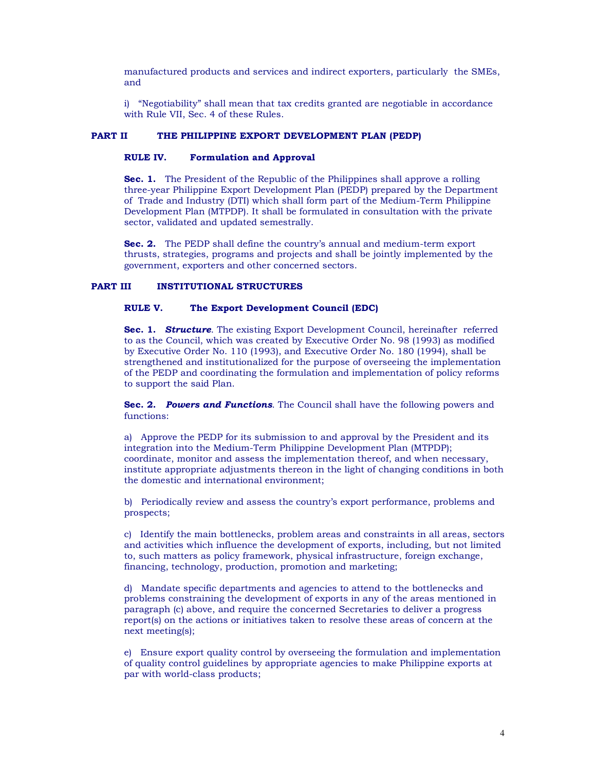manufactured products and services and indirect exporters, particularly the SMEs, and

i) "Negotiability" shall mean that tax credits granted are negotiable in accordance with Rule VII, Sec. 4 of these Rules.

#### THE PHILIPPINE EXPORT DEVELOPMENT PLAN (PEDP) **PART II**

#### **RULE IV. Formulation and Approval**

**Sec. 1.** The President of the Republic of the Philippines shall approve a rolling three-year Philippine Export Development Plan (PEDP) prepared by the Department of Trade and Industry (DTI) which shall form part of the Medium-Term Philippine Development Plan (MTPDP). It shall be formulated in consultation with the private sector, validated and updated semestrally.

**Sec. 2.** The PEDP shall define the country's annual and medium-term export thrusts, strategies, programs and projects and shall be jointly implemented by the government, exporters and other concerned sectors.

#### **PART III INSTITUTIONAL STRUCTURES**

#### RIILE V. The Export Development Council (EDC)

Sec. 1. Structure. The existing Export Development Council, hereinafter referred to as the Council, which was created by Executive Order No. 98 (1993) as modified by Executive Order No. 110 (1993), and Executive Order No. 180 (1994), shall be strengthened and institutionalized for the purpose of overseeing the implementation of the PEDP and coordinating the formulation and implementation of policy reforms to support the said Plan.

Sec. 2. Powers and Functions. The Council shall have the following powers and functions:

a) Approve the PEDP for its submission to and approval by the President and its integration into the Medium-Term Philippine Development Plan (MTPDP); coordinate, monitor and assess the implementation thereof, and when necessary, institute appropriate adjustments thereon in the light of changing conditions in both the domestic and international environment;

b) Periodically review and assess the country's export performance, problems and prospects;

c) Identify the main bottlenecks, problem areas and constraints in all areas, sectors and activities which influence the development of exports, including, but not limited to, such matters as policy framework, physical infrastructure, foreign exchange, financing, technology, production, promotion and marketing;

d) Mandate specific departments and agencies to attend to the bottlenecks and problems constraining the development of exports in any of the areas mentioned in paragraph (c) above, and require the concerned Secretaries to deliver a progress report(s) on the actions or initiatives taken to resolve these areas of concern at the next meeting(s);

e) Ensure export quality control by overseeing the formulation and implementation of quality control guidelines by appropriate agencies to make Philippine exports at par with world-class products;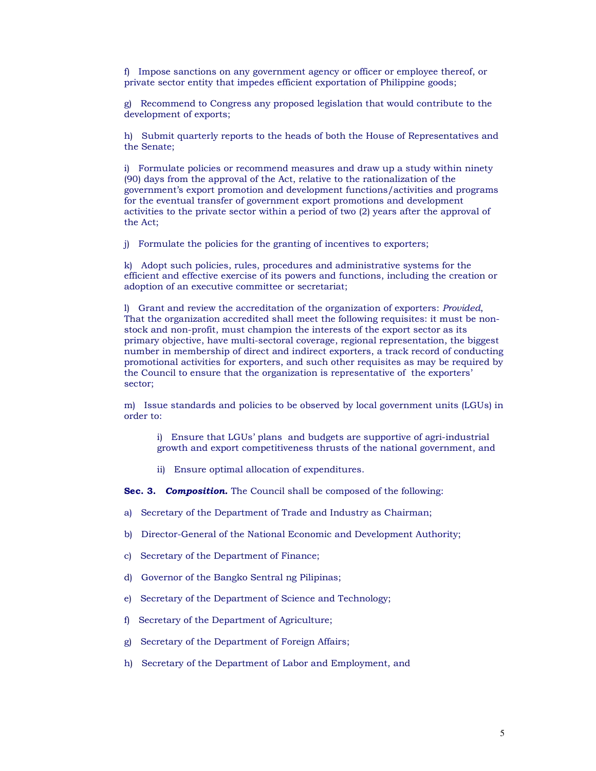f) Impose sanctions on any government agency or officer or employee thereof, or private sector entity that impedes efficient exportation of Philippine goods;

g) Recommend to Congress any proposed legislation that would contribute to the development of exports;

h) Submit quarterly reports to the heads of both the House of Representatives and the Senate:

i) Formulate policies or recommend measures and draw up a study within ninety (90) days from the approval of the Act, relative to the rationalization of the government's export promotion and development functions/activities and programs for the eventual transfer of government export promotions and development activities to the private sector within a period of two (2) years after the approval of the Act:

i) Formulate the policies for the granting of incentives to exporters;

k) Adopt such policies, rules, procedures and administrative systems for the efficient and effective exercise of its powers and functions, including the creation or adoption of an executive committee or secretariat;

1) Grant and review the accreditation of the organization of exporters: *Provided*, That the organization accredited shall meet the following requisites: it must be nonstock and non-profit, must champion the interests of the export sector as its primary objective, have multi-sectoral coverage, regional representation, the biggest number in membership of direct and indirect exporters, a track record of conducting promotional activities for exporters, and such other requisites as may be required by the Council to ensure that the organization is representative of the exporters' sector;

m) Issue standards and policies to be observed by local government units (LGUs) in order to:

i) Ensure that LGUs' plans and budgets are supportive of agri-industrial growth and export competitiveness thrusts of the national government, and

ii) Ensure optimal allocation of expenditures.

Sec. 3. Composition. The Council shall be composed of the following:

- a) Secretary of the Department of Trade and Industry as Chairman;
- b) Director-General of the National Economic and Development Authority;
- c) Secretary of the Department of Finance;
- d) Governor of the Bangko Sentral ng Pilipinas;
- e) Secretary of the Department of Science and Technology;
- f) Secretary of the Department of Agriculture;
- g) Secretary of the Department of Foreign Affairs;
- h) Secretary of the Department of Labor and Employment, and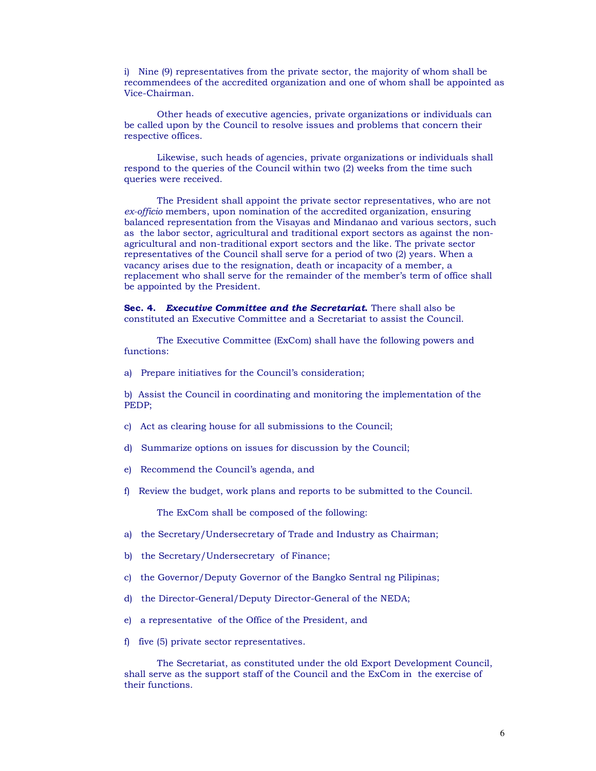i) Nine (9) representatives from the private sector, the majority of whom shall be recommendees of the accredited organization and one of whom shall be appointed as Vice-Chairman.

Other heads of executive agencies, private organizations or individuals can be called upon by the Council to resolve issues and problems that concern their respective offices.

Likewise, such heads of agencies, private organizations or individuals shall respond to the queries of the Council within two (2) weeks from the time such queries were received.

The President shall appoint the private sector representatives, who are not ex-officio members, upon nomination of the accredited organization, ensuring balanced representation from the Visayas and Mindanao and various sectors, such as the labor sector, agricultural and traditional export sectors as against the nonagricultural and non-traditional export sectors and the like. The private sector representatives of the Council shall serve for a period of two (2) years. When a vacancy arises due to the resignation, death or incapacity of a member, a replacement who shall serve for the remainder of the member's term of office shall be appointed by the President.

Sec. 4. Executive Committee and the Secretariat. There shall also be constituted an Executive Committee and a Secretariat to assist the Council.

The Executive Committee (ExCom) shall have the following powers and functions:

a) Prepare initiatives for the Council's consideration;

b) Assist the Council in coordinating and monitoring the implementation of the PEDP:

- c) Act as clearing house for all submissions to the Council;
- d) Summarize options on issues for discussion by the Council;
- e) Recommend the Council's agenda, and
- f) Review the budget, work plans and reports to be submitted to the Council.

The ExCom shall be composed of the following:

- a) the Secretary/Undersecretary of Trade and Industry as Chairman;
- b) the Secretary/Undersecretary of Finance;
- c) the Governor/Deputy Governor of the Bangko Sentral ng Pilipinas;
- d) the Director-General/Deputy Director-General of the NEDA;
- e) a representative of the Office of the President, and
- f) five (5) private sector representatives.

The Secretariat, as constituted under the old Export Development Council, shall serve as the support staff of the Council and the ExCom in the exercise of their functions.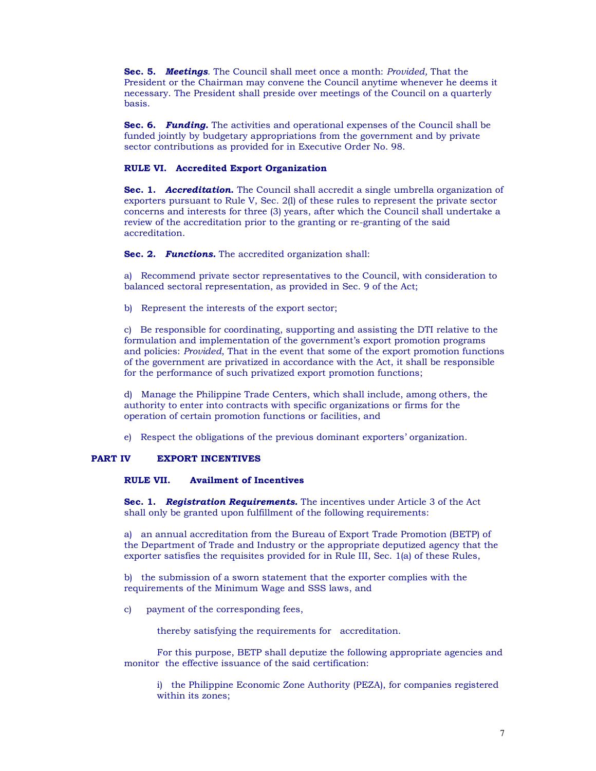Sec. 5. Meetings. The Council shall meet once a month: Provided, That the President or the Chairman may convene the Council anytime whenever he deems it necessary. The President shall preside over meetings of the Council on a quarterly basis.

Sec. 6. Funding. The activities and operational expenses of the Council shall be funded jointly by budgetary appropriations from the government and by private sector contributions as provided for in Executive Order No. 98.

## RULE VI. Accredited Export Organization

Sec. 1. Accreditation. The Council shall accredit a single umbrella organization of exporters pursuant to Rule V, Sec. 2(1) of these rules to represent the private sector concerns and interests for three (3) years, after which the Council shall undertake a review of the accreditation prior to the granting or re-granting of the said accreditation.

Sec. 2. Functions. The accredited organization shall:

a) Recommend private sector representatives to the Council, with consideration to balanced sectoral representation, as provided in Sec. 9 of the Act;

b) Represent the interests of the export sector;

c) Be responsible for coordinating, supporting and assisting the DTI relative to the formulation and implementation of the government's export promotion programs and policies: Provided, That in the event that some of the export promotion functions of the government are privatized in accordance with the Act, it shall be responsible for the performance of such privatized export promotion functions;

d) Manage the Philippine Trade Centers, which shall include, among others, the authority to enter into contracts with specific organizations or firms for the operation of certain promotion functions or facilities, and

e) Respect the obligations of the previous dominant exporters' organization.

#### **PART IV EXPORT INCENTIVES**

#### RULE VII. **Availment of Incentives**

Sec. 1. Registration Requirements. The incentives under Article 3 of the Act shall only be granted upon fulfillment of the following requirements:

a) an annual accreditation from the Bureau of Export Trade Promotion (BETP) of the Department of Trade and Industry or the appropriate deputized agency that the exporter satisfies the requisites provided for in Rule III, Sec. 1(a) of these Rules,

b) the submission of a sworn statement that the exporter complies with the requirements of the Minimum Wage and SSS laws, and

payment of the corresponding fees,  $\mathbf{c}$ 

thereby satisfying the requirements for accreditation.

For this purpose, BETP shall deputize the following appropriate agencies and monitor the effective issuance of the said certification:

i) the Philippine Economic Zone Authority (PEZA), for companies registered within its zones;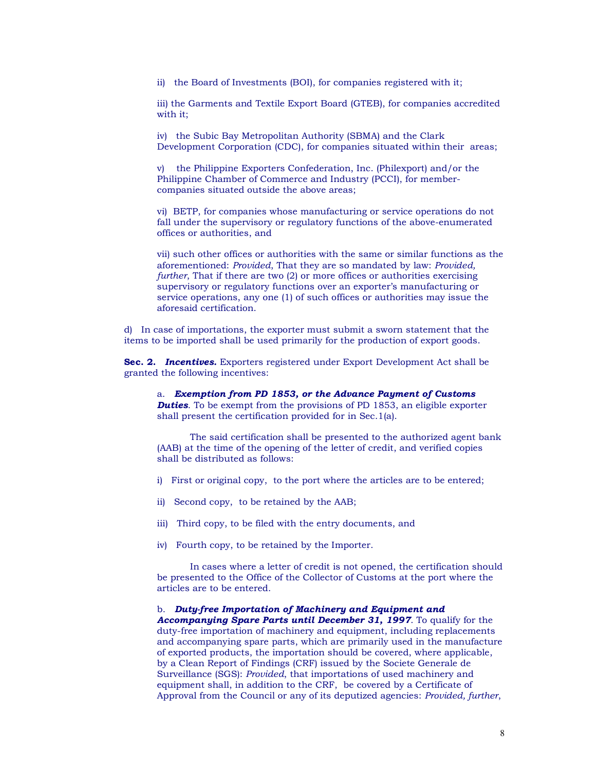ii) the Board of Investments (BOI), for companies registered with it;

iii) the Garments and Textile Export Board (GTEB), for companies accredited with it:

iv) the Subic Bay Metropolitan Authority (SBMA) and the Clark Development Corporation (CDC), for companies situated within their areas;

v) the Philippine Exporters Confederation, Inc. (Philexport) and/or the Philippine Chamber of Commerce and Industry (PCCI), for membercompanies situated outside the above areas;

vi) BETP, for companies whose manufacturing or service operations do not fall under the supervisory or regulatory functions of the above-enumerated offices or authorities, and

vii) such other offices or authorities with the same or similar functions as the aforementioned: Provided, That they are so mandated by law: Provided, further, That if there are two (2) or more offices or authorities exercising supervisory or regulatory functions over an exporter's manufacturing or service operations, any one (1) of such offices or authorities may issue the aforesaid certification.

d) In case of importations, the exporter must submit a sworn statement that the items to be imported shall be used primarily for the production of export goods.

**Sec. 2. Incentives.** Exporters registered under Export Development Act shall be granted the following incentives:

a. Exemption from PD 1853, or the Advance Payment of Customs **Duties**. To be exempt from the provisions of PD 1853, an eligible exporter shall present the certification provided for in Sec.1(a).

The said certification shall be presented to the authorized agent bank (AAB) at the time of the opening of the letter of credit, and verified copies shall be distributed as follows:

- i) First or original copy, to the port where the articles are to be entered;
- ii) Second copy, to be retained by the AAB;
- iii) Third copy, to be filed with the entry documents, and
- iv) Fourth copy, to be retained by the Importer.

In cases where a letter of credit is not opened, the certification should be presented to the Office of the Collector of Customs at the port where the articles are to be entered.

b. Duty-free Importation of Machinery and Equipment and

Accompanying Spare Parts until December 31, 1997. To qualify for the duty-free importation of machinery and equipment, including replacements and accompanying spare parts, which are primarily used in the manufacture of exported products, the importation should be covered, where applicable, by a Clean Report of Findings (CRF) issued by the Societe Generale de Surveillance (SGS): Provided, that importations of used machinery and equipment shall, in addition to the CRF, be covered by a Certificate of Approval from the Council or any of its deputized agencies: Provided, further,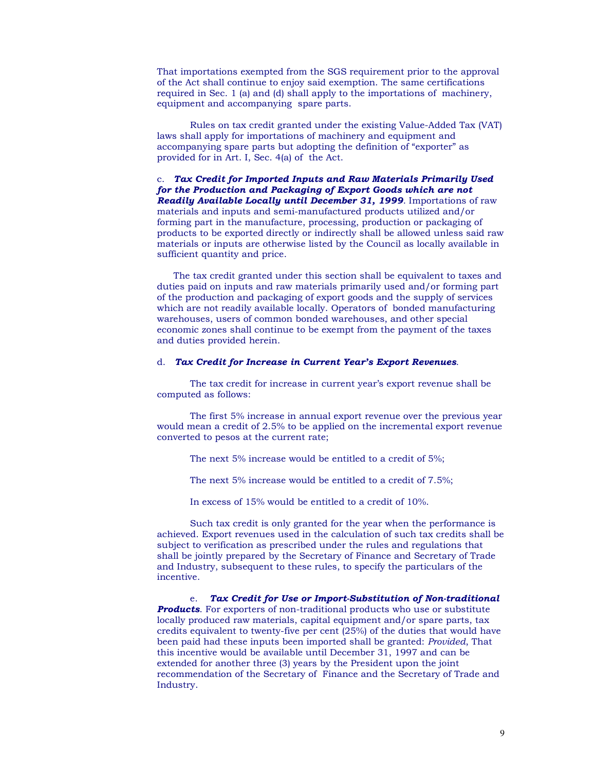That importations exempted from the SGS requirement prior to the approval of the Act shall continue to enjoy said exemption. The same certifications required in Sec. 1 (a) and (d) shall apply to the importations of machinery, equipment and accompanying spare parts.

Rules on tax credit granted under the existing Value-Added Tax (VAT) laws shall apply for importations of machinery and equipment and accompanying spare parts but adopting the definition of "exporter" as provided for in Art. I, Sec. 4(a) of the Act.

c. Tax Credit for Imported Inputs and Raw Materials Primarily Used for the Production and Packaging of Export Goods which are not **Readily Available Locally until December 31, 1999.** Importations of raw materials and inputs and semi-manufactured products utilized and/or forming part in the manufacture, processing, production or packaging of products to be exported directly or indirectly shall be allowed unless said raw materials or inputs are otherwise listed by the Council as locally available in sufficient quantity and price.

The tax credit granted under this section shall be equivalent to taxes and duties paid on inputs and raw materials primarily used and/or forming part of the production and packaging of export goods and the supply of services which are not readily available locally. Operators of bonded manufacturing warehouses, users of common bonded warehouses, and other special economic zones shall continue to be exempt from the payment of the taxes and duties provided herein.

## d. Tax Credit for Increase in Current Year's Export Revenues.

The tax credit for increase in current year's export revenue shall be computed as follows:

The first 5% increase in annual export revenue over the previous year would mean a credit of 2.5% to be applied on the incremental export revenue converted to pesos at the current rate;

The next 5% increase would be entitled to a credit of 5%;

The next 5% increase would be entitled to a credit of 7.5%;

In excess of 15% would be entitled to a credit of 10%.

Such tax credit is only granted for the year when the performance is achieved. Export revenues used in the calculation of such tax credits shall be subject to verification as prescribed under the rules and regulations that shall be jointly prepared by the Secretary of Finance and Secretary of Trade and Industry, subsequent to these rules, to specify the particulars of the incentive.

Tax Credit for Use or Import-Substitution of Non-traditional  $e^+$ **Products.** For exporters of non-traditional products who use or substitute locally produced raw materials, capital equipment and/or spare parts, tax credits equivalent to twenty-five per cent (25%) of the duties that would have been paid had these inputs been imported shall be granted: Provided, That this incentive would be available until December 31, 1997 and can be extended for another three (3) years by the President upon the joint recommendation of the Secretary of Finance and the Secretary of Trade and Industry.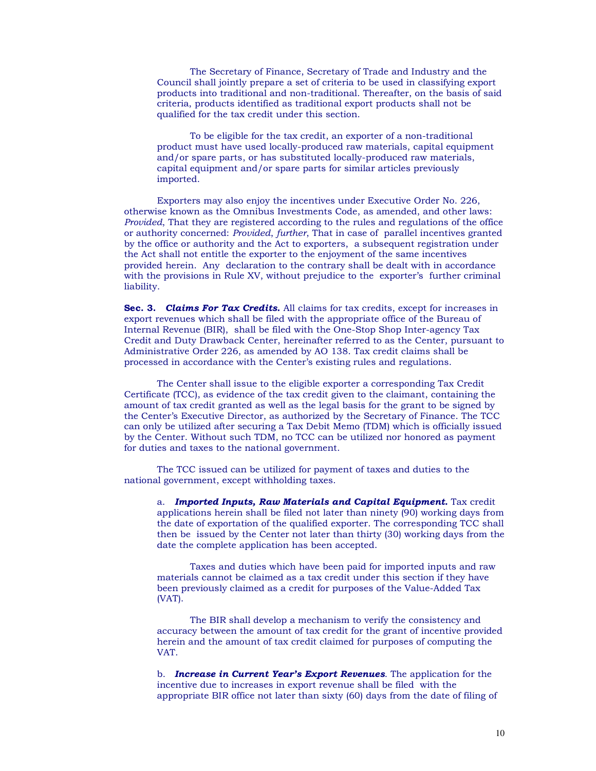The Secretary of Finance, Secretary of Trade and Industry and the Council shall jointly prepare a set of criteria to be used in classifying export products into traditional and non-traditional. Thereafter, on the basis of said criteria, products identified as traditional export products shall not be qualified for the tax credit under this section.

To be eligible for the tax credit, an exporter of a non-traditional product must have used locally-produced raw materials, capital equipment and/or spare parts, or has substituted locally-produced raw materials, capital equipment and/or spare parts for similar articles previously imported.

Exporters may also enjoy the incentives under Executive Order No. 226. otherwise known as the Omnibus Investments Code, as amended, and other laws: Provided, That they are registered according to the rules and regulations of the office or authority concerned: Provided, further, That in case of parallel incentives granted by the office or authority and the Act to exporters, a subsequent registration under the Act shall not entitle the exporter to the enjoyment of the same incentives provided herein. Any declaration to the contrary shall be dealt with in accordance with the provisions in Rule XV, without prejudice to the exporter's further criminal liability.

Sec. 3. Claims For Tax Credits. All claims for tax credits, except for increases in export revenues which shall be filed with the appropriate office of the Bureau of Internal Revenue (BIR), shall be filed with the One-Stop Shop Inter-agency Tax Credit and Duty Drawback Center, hereinafter referred to as the Center, pursuant to Administrative Order 226, as amended by AO 138. Tax credit claims shall be processed in accordance with the Center's existing rules and regulations.

The Center shall issue to the eligible exporter a corresponding Tax Credit Certificate (TCC), as evidence of the tax credit given to the claimant, containing the amount of tax credit granted as well as the legal basis for the grant to be signed by the Center's Executive Director, as authorized by the Secretary of Finance. The TCC can only be utilized after securing a Tax Debit Memo (TDM) which is officially issued by the Center. Without such TDM, no TCC can be utilized nor honored as payment for duties and taxes to the national government.

The TCC issued can be utilized for payment of taxes and duties to the national government, except withholding taxes.

a. Imported Inputs, Raw Materials and Capital Equipment. Tax credit applications herein shall be filed not later than ninety (90) working days from the date of exportation of the qualified exporter. The corresponding TCC shall then be issued by the Center not later than thirty (30) working days from the date the complete application has been accepted.

Taxes and duties which have been paid for imported inputs and raw materials cannot be claimed as a tax credit under this section if they have been previously claimed as a credit for purposes of the Value-Added Tax (VAT).

The BIR shall develop a mechanism to verify the consistency and accuracy between the amount of tax credit for the grant of incentive provided herein and the amount of tax credit claimed for purposes of computing the VAT.

b. Increase in Current Year's Export Revenues. The application for the incentive due to increases in export revenue shall be filed with the appropriate BIR office not later than sixty (60) days from the date of filing of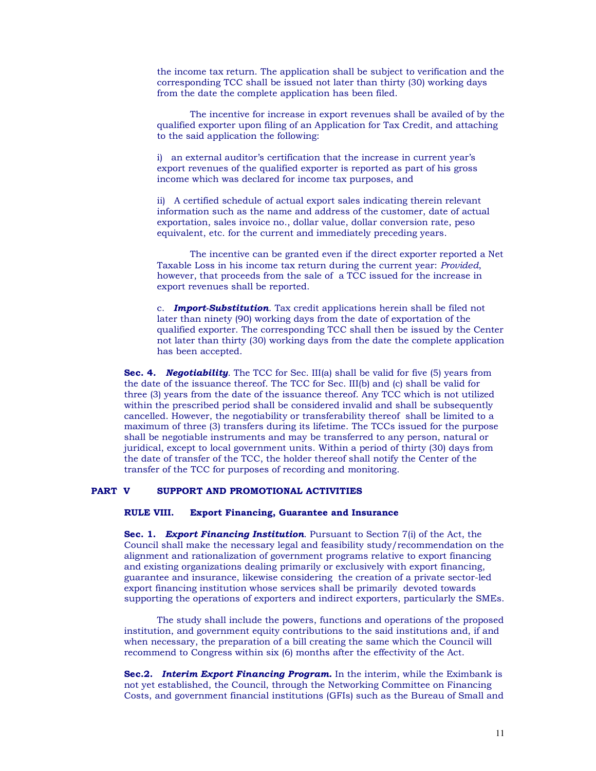the income tax return. The application shall be subject to verification and the corresponding TCC shall be issued not later than thirty (30) working days from the date the complete application has been filed.

The incentive for increase in export revenues shall be availed of by the qualified exporter upon filing of an Application for Tax Credit, and attaching to the said application the following:

i) an external auditor's certification that the increase in current year's export revenues of the qualified exporter is reported as part of his gross income which was declared for income tax purposes, and

ii) A certified schedule of actual export sales indicating therein relevant information such as the name and address of the customer, date of actual exportation, sales invoice no., dollar value, dollar conversion rate, peso equivalent, etc. for the current and immediately preceding years.

The incentive can be granted even if the direct exporter reported a Net Taxable Loss in his income tax return during the current year: *Provided*, however, that proceeds from the sale of a TCC issued for the increase in export revenues shall be reported.

c. **Import-Substitution**. Tax credit applications herein shall be filed not later than ninety (90) working days from the date of exportation of the qualified exporter. The corresponding TCC shall then be issued by the Center not later than thirty (30) working days from the date the complete application has been accepted.

**Sec. 4. Negotiability.** The TCC for Sec. III(a) shall be valid for five (5) years from the date of the issuance thereof. The TCC for Sec. III(b) and (c) shall be valid for three (3) years from the date of the issuance thereof. Any TCC which is not utilized within the prescribed period shall be considered invalid and shall be subsequently cancelled. However, the negotiability or transferability thereof shall be limited to a maximum of three (3) transfers during its lifetime. The TCCs issued for the purpose shall be negotiable instruments and may be transferred to any person, natural or juridical, except to local government units. Within a period of thirty (30) days from the date of transfer of the TCC, the holder thereof shall notify the Center of the transfer of the TCC for purposes of recording and monitoring.

#### PART V SUPPORT AND PROMOTIONAL ACTIVITIES

#### **RULE VIII. Export Financing, Guarantee and Insurance**

**Sec. 1. Export Financing Institution.** Pursuant to Section 7(i) of the Act, the Council shall make the necessary legal and feasibility study/recommendation on the alignment and rationalization of government programs relative to export financing and existing organizations dealing primarily or exclusively with export financing, guarantee and insurance, likewise considering the creation of a private sector-led export financing institution whose services shall be primarily devoted towards supporting the operations of exporters and indirect exporters, particularly the SMEs.

The study shall include the powers, functions and operations of the proposed institution, and government equity contributions to the said institutions and, if and when necessary, the preparation of a bill creating the same which the Council will recommend to Congress within six (6) months after the effectivity of the Act.

Sec.2. Interim Export Financing Program. In the interim, while the Eximbank is not yet established, the Council, through the Networking Committee on Financing Costs, and government financial institutions (GFIs) such as the Bureau of Small and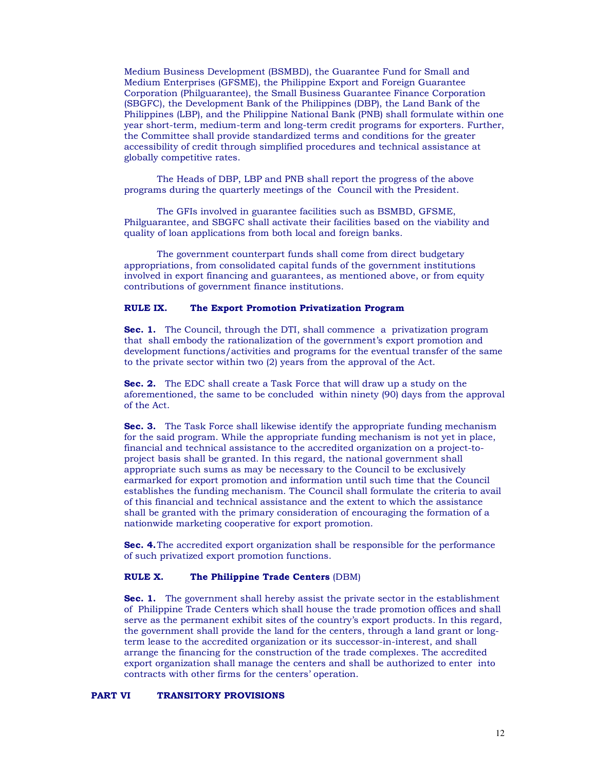Medium Business Development (BSMBD), the Guarantee Fund for Small and Medium Enterprises (GFSME), the Philippine Export and Foreign Guarantee Corporation (Philguarantee), the Small Business Guarantee Finance Corporation (SBGFC), the Development Bank of the Philippines (DBP), the Land Bank of the Philippines (LBP), and the Philippine National Bank (PNB) shall formulate within one year short-term, medium-term and long-term credit programs for exporters. Further, the Committee shall provide standardized terms and conditions for the greater accessibility of credit through simplified procedures and technical assistance at globally competitive rates.

The Heads of DBP, LBP and PNB shall report the progress of the above programs during the quarterly meetings of the Council with the President.

The GFIs involved in guarantee facilities such as BSMBD, GFSME, Philguarantee, and SBGFC shall activate their facilities based on the viability and quality of loan applications from both local and foreign banks.

The government counterpart funds shall come from direct budgetary appropriations, from consolidated capital funds of the government institutions involved in export financing and guarantees, as mentioned above, or from equity contributions of government finance institutions.

#### **RULE IX.** The Export Promotion Privatization Program

Sec. 1. The Council, through the DTI, shall commence a privatization program that shall embody the rationalization of the government's export promotion and development functions/activities and programs for the eventual transfer of the same to the private sector within two (2) years from the approval of the Act.

**Sec. 2.** The EDC shall create a Task Force that will draw up a study on the aforementioned, the same to be concluded within ninety (90) days from the approval of the Act.

**Sec. 3.** The Task Force shall likewise identify the appropriate funding mechanism for the said program. While the appropriate funding mechanism is not yet in place, financial and technical assistance to the accredited organization on a project-toproject basis shall be granted. In this regard, the national government shall appropriate such sums as may be necessary to the Council to be exclusively earmarked for export promotion and information until such time that the Council establishes the funding mechanism. The Council shall formulate the criteria to avail of this financial and technical assistance and the extent to which the assistance shall be granted with the primary consideration of encouraging the formation of a nationwide marketing cooperative for export promotion.

Sec. 4. The accredited export organization shall be responsible for the performance of such privatized export promotion functions.

#### **RULE X.** The Philippine Trade Centers (DBM)

**Sec. 1.** The government shall hereby assist the private sector in the establishment of Philippine Trade Centers which shall house the trade promotion offices and shall serve as the permanent exhibit sites of the country's export products. In this regard, the government shall provide the land for the centers, through a land grant or longterm lease to the accredited organization or its successor-in-interest, and shall arrange the financing for the construction of the trade complexes. The accredited export organization shall manage the centers and shall be authorized to enter into contracts with other firms for the centers' operation.

#### **TRANSITORY PROVISIONS PART VI**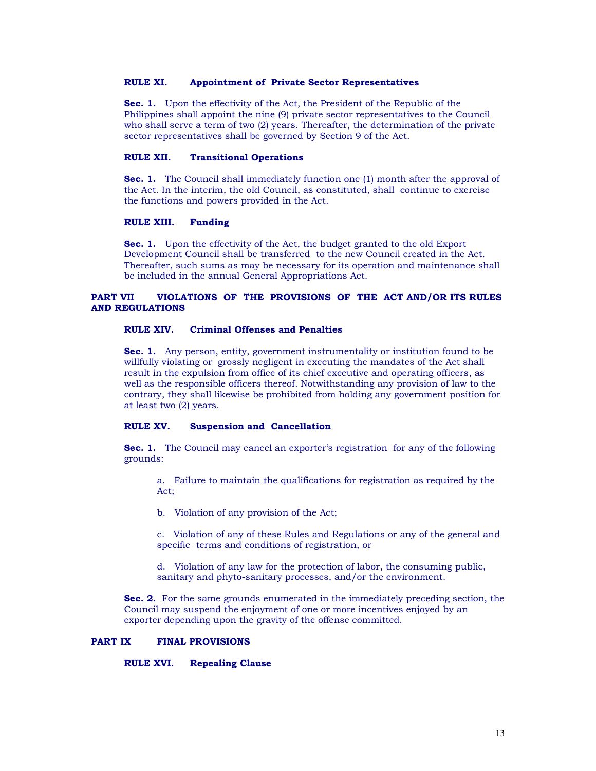#### RULE XI. **Appointment of Private Sector Representatives**

Sec. 1. Upon the effectivity of the Act, the President of the Republic of the Philippines shall appoint the nine (9) private sector representatives to the Council who shall serve a term of two (2) years. Thereafter, the determination of the private sector representatives shall be governed by Section 9 of the Act.

#### RULE XII. **Transitional Operations**

**Sec. 1.** The Council shall immediately function one (1) month after the approval of the Act. In the interim, the old Council, as constituted, shall continue to exercise the functions and powers provided in the Act.

#### RULE XIII. **Funding**

**Sec. 1.** Upon the effectivity of the Act, the budget granted to the old Export Development Council shall be transferred to the new Council created in the Act. Thereafter, such sums as may be necessary for its operation and maintenance shall be included in the annual General Appropriations Act.

### VIOLATIONS OF THE PROVISIONS OF THE ACT AND/OR ITS RULES **PART VII AND REGULATIONS**

#### RULE XIV. **Criminal Offenses and Penalties**

**Sec. 1.** Any person, entity, government instrumentality or institution found to be willfully violating or grossly negligent in executing the mandates of the Act shall result in the expulsion from office of its chief executive and operating officers, as well as the responsible officers thereof. Notwithstanding any provision of law to the contrary, they shall likewise be prohibited from holding any government position for at least two  $(2)$  years.

#### RULE XV. **Suspension and Cancellation**

**Sec. 1.** The Council may cancel an exporter's registration for any of the following grounds:

a. Failure to maintain the qualifications for registration as required by the Act:

b. Violation of any provision of the Act;

c. Violation of any of these Rules and Regulations or any of the general and specific terms and conditions of registration, or

d. Violation of any law for the protection of labor, the consuming public, sanitary and phyto-sanitary processes, and/or the environment.

Sec. 2. For the same grounds enumerated in the immediately preceding section, the Council may suspend the enjoyment of one or more incentives enjoyed by an exporter depending upon the gravity of the offense committed.

#### **PART IX FINAL PROVISIONS**

**RULE XVI. Repealing Clause**